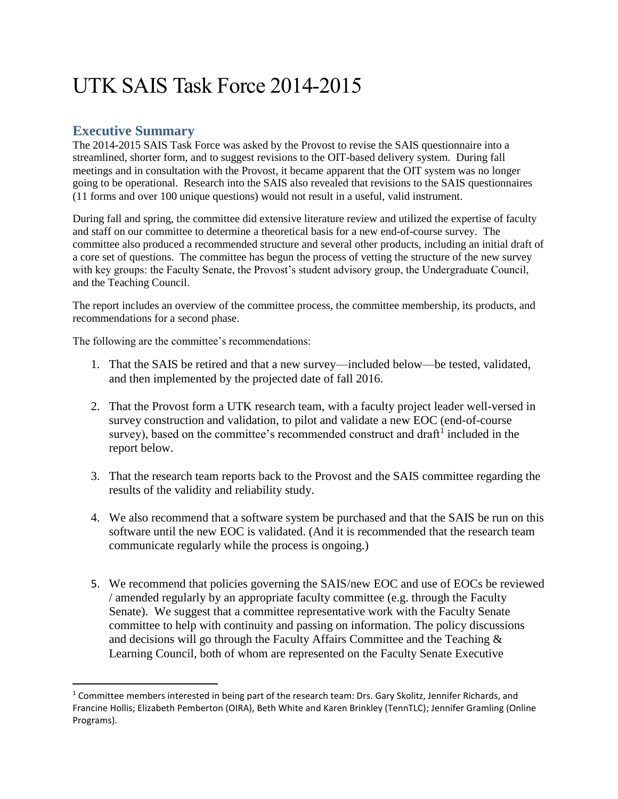# UTK SAIS Task Force 2014-2015

## **Executive Summary**

 $\overline{\phantom{a}}$ 

The 2014-2015 SAIS Task Force was asked by the Provost to revise the SAIS questionnaire into a streamlined, shorter form, and to suggest revisions to the OIT-based delivery system. During fall meetings and in consultation with the Provost, it became apparent that the OIT system was no longer going to be operational. Research into the SAIS also revealed that revisions to the SAIS questionnaires (11 forms and over 100 unique questions) would not result in a useful, valid instrument.

During fall and spring, the committee did extensive literature review and utilized the expertise of faculty and staff on our committee to determine a theoretical basis for a new end-of-course survey. The committee also produced a recommended structure and several other products, including an initial draft of a core set of questions. The committee has begun the process of vetting the structure of the new survey with key groups: the Faculty Senate, the Provost's student advisory group, the Undergraduate Council, and the Teaching Council.

The report includes an overview of the committee process, the committee membership, its products, and recommendations for a second phase.

The following are the committee's recommendations:

- 1. That the SAIS be retired and that a new survey—included below—be tested, validated, and then implemented by the projected date of fall 2016.
- 2. That the Provost form a UTK research team, with a faculty project leader well-versed in survey construction and validation, to pilot and validate a new EOC (end-of-course survey), based on the committee's recommended construct and draft<sup>1</sup> included in the report below.
- 3. That the research team reports back to the Provost and the SAIS committee regarding the results of the validity and reliability study.
- 4. We also recommend that a software system be purchased and that the SAIS be run on this software until the new EOC is validated. (And it is recommended that the research team communicate regularly while the process is ongoing.)
- 5. We recommend that policies governing the SAIS/new EOC and use of EOCs be reviewed / amended regularly by an appropriate faculty committee (e.g. through the Faculty Senate). We suggest that a committee representative work with the Faculty Senate committee to help with continuity and passing on information. The policy discussions and decisions will go through the Faculty Affairs Committee and the Teaching & Learning Council, both of whom are represented on the Faculty Senate Executive

 $1$  Committee members interested in being part of the research team: Drs. Gary Skolitz, Jennifer Richards, and Francine Hollis; Elizabeth Pemberton (OIRA), Beth White and Karen Brinkley (TennTLC); Jennifer Gramling (Online Programs).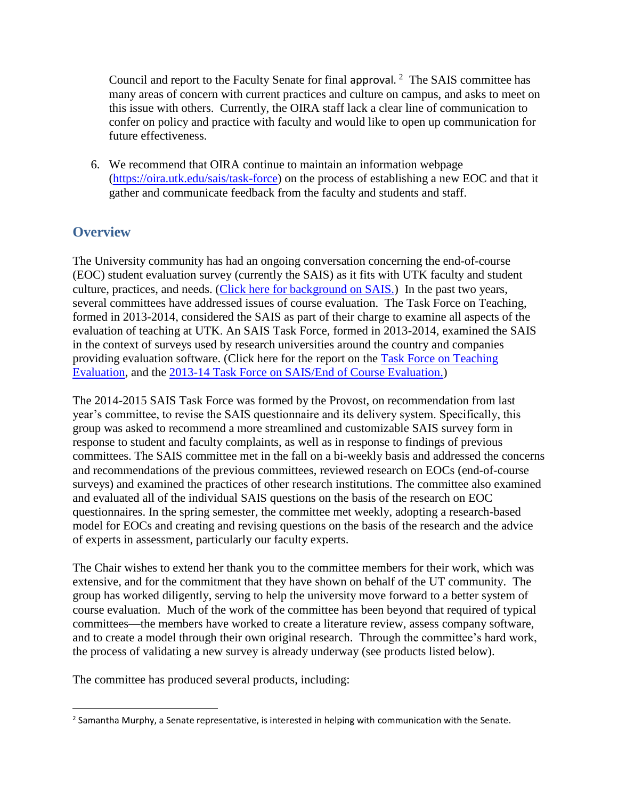Council and report to the Faculty Senate for final approval.<sup>2</sup> The SAIS committee has many areas of concern with current practices and culture on campus, and asks to meet on this issue with others. Currently, the OIRA staff lack a clear line of communication to confer on policy and practice with faculty and would like to open up communication for future effectiveness.

6. We recommend that OIRA continue to maintain an information webpage [\(https://oira.utk.edu/sais/task-force\)](https://oira.utk.edu/sais/task-force) on the process of establishing a new EOC and that it gather and communicate feedback from the faculty and students and staff.

# **Overview**

The University community has had an ongoing conversation concerning the end-of-course (EOC) student evaluation survey (currently the SAIS) as it fits with UTK faculty and student culture, practices, and needs. [\(Click here for background on SAIS.\)](https://oira.utk.edu/sites/default/pdfs/assessment/sais/Brief_History_of_SAIS.pdf) In the past two years, several committees have addressed issues of course evaluation. The Task Force on Teaching, formed in 2013-2014, considered the SAIS as part of their charge to examine all aspects of the evaluation of teaching at UTK. An SAIS Task Force, formed in 2013-2014, examined the SAIS in the context of surveys used by research universities around the country and companies providing evaluation software. (Click here for the report on the [Task Force on Teaching](https://oira.utk.edu/sites/default/pdfs/assessment/sais/Task_Force_Report.pdf)  [Evaluation,](https://oira.utk.edu/sites/default/pdfs/assessment/sais/Task_Force_Report.pdf) and the [2013-14 Task Force on SAIS/End of Course Evaluation.\)](https://oira.utk.edu/sites/default/pdfs/assessment/sais/SAIS_Task_Force_Report_Final_12_2013.pdf)

The 2014-2015 SAIS Task Force was formed by the Provost, on recommendation from last year's committee, to revise the SAIS questionnaire and its delivery system. Specifically, this group was asked to recommend a more streamlined and customizable SAIS survey form in response to student and faculty complaints, as well as in response to findings of previous committees. The SAIS committee met in the fall on a bi-weekly basis and addressed the concerns and recommendations of the previous committees, reviewed research on EOCs (end-of-course surveys) and examined the practices of other research institutions. The committee also examined and evaluated all of the individual SAIS questions on the basis of the research on EOC questionnaires. In the spring semester, the committee met weekly, adopting a research-based model for EOCs and creating and revising questions on the basis of the research and the advice of experts in assessment, particularly our faculty experts.

The Chair wishes to extend her thank you to the committee members for their work, which was extensive, and for the commitment that they have shown on behalf of the UT community. The group has worked diligently, serving to help the university move forward to a better system of course evaluation. Much of the work of the committee has been beyond that required of typical committees—the members have worked to create a literature review, assess company software, and to create a model through their own original research. Through the committee's hard work, the process of validating a new survey is already underway (see products listed below).

The committee has produced several products, including:

 $\overline{\phantom{a}}$ <sup>2</sup> Samantha Murphy, a Senate representative, is interested in helping with communication with the Senate.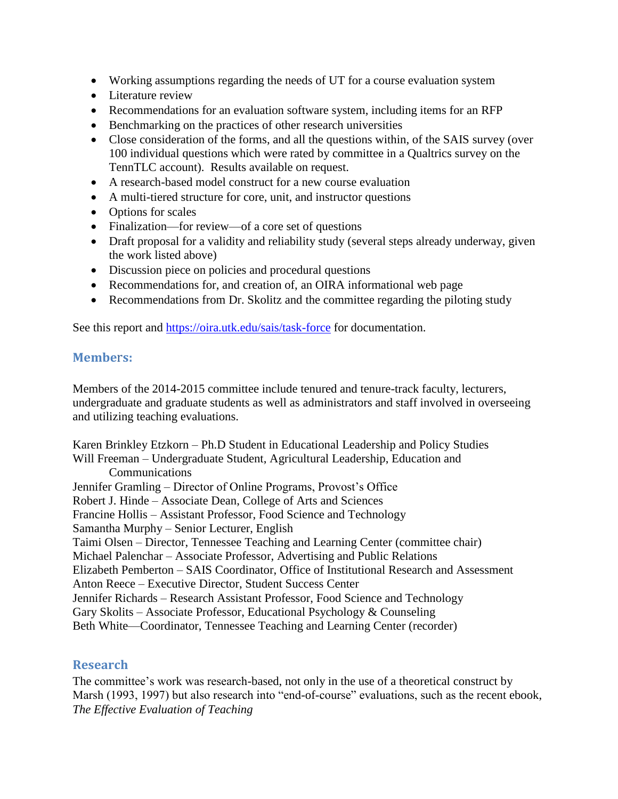- Working assumptions regarding the needs of UT for a course evaluation system
- Literature review
- Recommendations for an evaluation software system, including items for an RFP
- Benchmarking on the practices of other research universities
- Close consideration of the forms, and all the questions within, of the SAIS survey (over 100 individual questions which were rated by committee in a Qualtrics survey on the TennTLC account). Results available on request.
- A research-based model construct for a new course evaluation
- A multi-tiered structure for core, unit, and instructor questions
- Options for scales
- Finalization—for review—of a core set of questions
- Draft proposal for a validity and reliability study (several steps already underway, given the work listed above)
- Discussion piece on policies and procedural questions
- Recommendations for, and creation of, an OIRA informational web page
- Recommendations from Dr. Skolitz and the committee regarding the piloting study

See this report and<https://oira.utk.edu/sais/task-force> for documentation.

## **Membe**r**s:**

Members of the 2014-2015 committee include tenured and tenure-track faculty, lecturers, undergraduate and graduate students as well as administrators and staff involved in overseeing and utilizing teaching evaluations.

Karen Brinkley Etzkorn – Ph.D Student in Educational Leadership and Policy Studies Will Freeman – Undergraduate Student, Agricultural Leadership, Education and Communications Jennifer Gramling – Director of Online Programs, Provost's Office Robert J. Hinde – Associate Dean, College of Arts and Sciences Francine Hollis – Assistant Professor, Food Science and Technology Samantha Murphy – Senior Lecturer, English Taimi Olsen – Director, Tennessee Teaching and Learning Center (committee chair) Michael Palenchar – Associate Professor, Advertising and Public Relations Elizabeth Pemberton – SAIS Coordinator, Office of Institutional Research and Assessment Anton Reece – Executive Director, Student Success Center Jennifer Richards – Research Assistant Professor, Food Science and Technology Gary Skolits – Associate Professor, Educational Psychology & Counseling Beth White—Coordinator, Tennessee Teaching and Learning Center (recorder)

## **Research**

The committee's work was research-based, not only in the use of a theoretical construct by Marsh (1993, 1997) but also research into "end-of-course" evaluations, such as the recent ebook, *The Effective Evaluation of Teaching*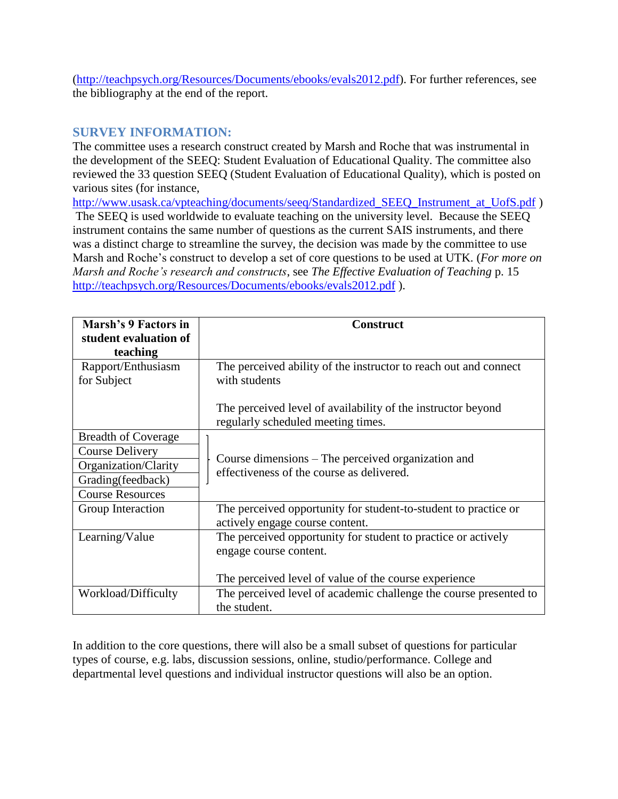[\(http://teachpsych.org/Resources/Documents/ebooks/evals2012.pdf\)](http://teachpsych.org/Resources/Documents/ebooks/evals2012.pdf). For further references, see the bibliography at the end of the report.

#### **SURVEY INFORMATION:**

The committee uses a research construct created by Marsh and Roche that was instrumental in the development of the SEEQ: Student Evaluation of Educational Quality. The committee also reviewed the 33 question SEEQ (Student Evaluation of Educational Quality), which is posted on various sites (for instance,

[http://www.usask.ca/vpteaching/documents/seeq/Standardized\\_SEEQ\\_Instrument\\_at\\_UofS.pdf](http://www.usask.ca/vpteaching/documents/seeq/Standardized_SEEQ_Instrument_at_UofS.pdf) ) The SEEQ is used worldwide to evaluate teaching on the university level. Because the SEEQ instrument contains the same number of questions as the current SAIS instruments, and there was a distinct charge to streamline the survey, the decision was made by the committee to use Marsh and Roche's construct to develop a set of core questions to be used at UTK. (*For more on Marsh and Roche's research and constructs*, see *The Effective Evaluation of Teaching* p. 15 <http://teachpsych.org/Resources/Documents/ebooks/evals2012.pdf> ).

| Marsh's 9 Factors in<br>student evaluation of | <b>Construct</b>                                                                                   |  |  |
|-----------------------------------------------|----------------------------------------------------------------------------------------------------|--|--|
| teaching                                      |                                                                                                    |  |  |
| Rapport/Enthusiasm<br>for Subject             | The perceived ability of the instructor to reach out and connect<br>with students                  |  |  |
|                                               | The perceived level of availability of the instructor beyond<br>regularly scheduled meeting times. |  |  |
| <b>Breadth of Coverage</b>                    |                                                                                                    |  |  |
| <b>Course Delivery</b>                        | Course dimensions – The perceived organization and                                                 |  |  |
| Organization/Clarity                          |                                                                                                    |  |  |
| Grading(feedback)                             | effectiveness of the course as delivered.                                                          |  |  |
| <b>Course Resources</b>                       |                                                                                                    |  |  |
| Group Interaction                             | The perceived opportunity for student-to-student to practice or<br>actively engage course content. |  |  |
| Learning/Value                                | The perceived opportunity for student to practice or actively<br>engage course content.            |  |  |
|                                               | The perceived level of value of the course experience                                              |  |  |
| Workload/Difficulty                           | The perceived level of academic challenge the course presented to<br>the student.                  |  |  |

In addition to the core questions, there will also be a small subset of questions for particular types of course, e.g. labs, discussion sessions, online, studio/performance. College and departmental level questions and individual instructor questions will also be an option.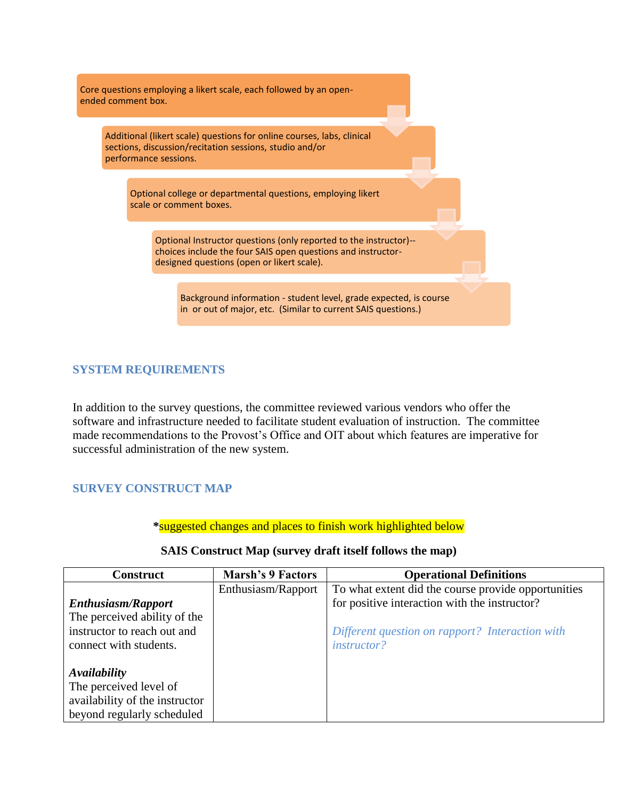Core questions employing a likert scale, each followed by an openended comment box.

Additional (likert scale) questions for online courses, labs, clinical sections, discussion/recitation sessions, studio and/or performance sessions.

Optional college or departmental questions, employing likert scale or comment boxes.

Optional Instructor questions (only reported to the instructor)- choices include the four SAIS open questions and instructordesigned questions (open or likert scale).

Background information - student level, grade expected, is course in or out of major, etc. (Similar to current SAIS questions.)

#### **SYSTEM REQUIREMENTS**

In addition to the survey questions, the committee reviewed various vendors who offer the software and infrastructure needed to facilitate student evaluation of instruction. The committee made recommendations to the Provost's Office and OIT about which features are imperative for successful administration of the new system.

#### **SURVEY CONSTRUCT MAP**

**\***suggested changes and places to finish work highlighted below

| <b>Construct</b>               | <b>Marsh's 9 Factors</b> | <b>Operational Definitions</b>                      |
|--------------------------------|--------------------------|-----------------------------------------------------|
|                                | Enthusiasm/Rapport       | To what extent did the course provide opportunities |
| <b>Enthusiasm/Rapport</b>      |                          | for positive interaction with the instructor?       |
| The perceived ability of the   |                          |                                                     |
| instructor to reach out and    |                          | Different question on rapport? Interaction with     |
| connect with students.         |                          | <i>instructor?</i>                                  |
|                                |                          |                                                     |
| Availability                   |                          |                                                     |
| The perceived level of         |                          |                                                     |
| availability of the instructor |                          |                                                     |
| beyond regularly scheduled     |                          |                                                     |

#### **SAIS Construct Map (survey draft itself follows the map)**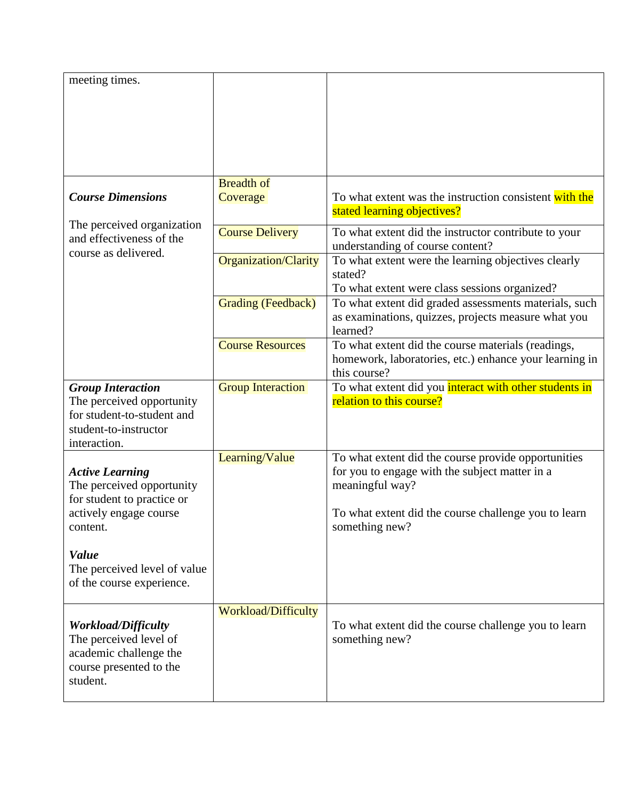| meeting times.                                                                                                               |                                                |                                                                                                                                                 |
|------------------------------------------------------------------------------------------------------------------------------|------------------------------------------------|-------------------------------------------------------------------------------------------------------------------------------------------------|
| <b>Course Dimensions</b>                                                                                                     | <b>Breadth of</b><br>Coverage                  | To what extent was the instruction consistent with the<br>stated learning objectives?                                                           |
| The perceived organization<br>and effectiveness of the<br>course as delivered.                                               | <b>Course Delivery</b><br>Organization/Clarity | To what extent did the instructor contribute to your<br>understanding of course content?<br>To what extent were the learning objectives clearly |
|                                                                                                                              |                                                | stated?<br>To what extent were class sessions organized?                                                                                        |
|                                                                                                                              | <b>Grading (Feedback)</b>                      | To what extent did graded assessments materials, such<br>as examinations, quizzes, projects measure what you<br>learned?                        |
|                                                                                                                              | <b>Course Resources</b>                        | To what extent did the course materials (readings,<br>homework, laboratories, etc.) enhance your learning in<br>this course?                    |
| <b>Group Interaction</b><br>The perceived opportunity<br>for student-to-student and<br>student-to-instructor<br>interaction. | <b>Group Interaction</b>                       | To what extent did you interact with other students in<br>relation to this course?                                                              |
| <b>Active Learning</b><br>The perceived opportunity<br>for student to practice or                                            | Learning/Value                                 | To what extent did the course provide opportunities<br>for you to engage with the subject matter in a<br>meaningful way?                        |
| actively engage course<br>content.                                                                                           |                                                | To what extent did the course challenge you to learn<br>something new?                                                                          |
| <b>Value</b><br>The perceived level of value<br>of the course experience.                                                    |                                                |                                                                                                                                                 |
| <b>Workload/Difficulty</b><br>The perceived level of<br>academic challenge the<br>course presented to the<br>student.        | <b>Workload/Difficulty</b>                     | To what extent did the course challenge you to learn<br>something new?                                                                          |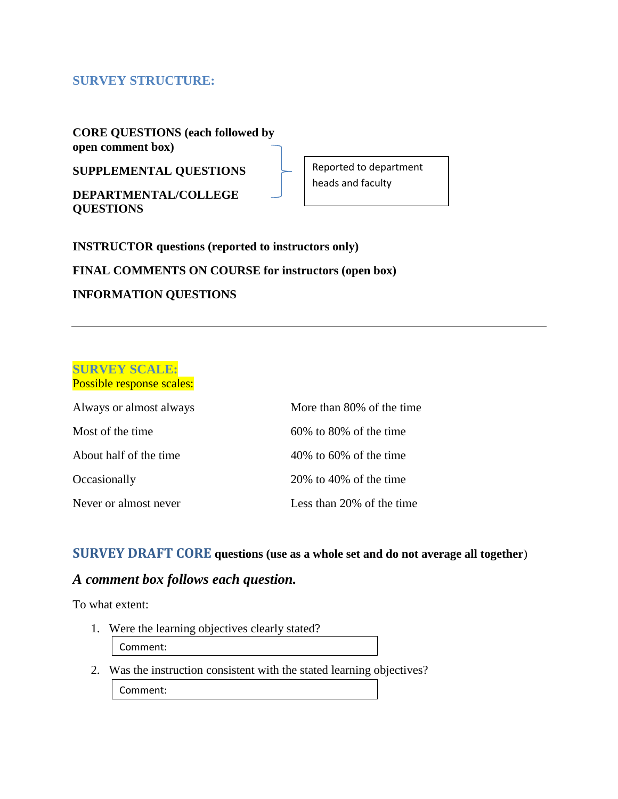## **SURVEY STRUCTURE:**

**CORE QUESTIONS (each followed by open comment box)**

**SUPPLEMENTAL QUESTIONS** 

**DEPARTMENTAL/COLLEGE QUESTIONS**

Reported to department heads and faculty

**INSTRUCTOR questions (reported to instructors only)**

**FINAL COMMENTS ON COURSE for instructors (open box)**

#### **INFORMATION QUESTIONS**

#### **SURVEY SCALE:** Possible response scales:

| Always or almost always | More than 80% of the time |
|-------------------------|---------------------------|
| Most of the time.       | $60\%$ to 80% of the time |
| About half of the time  | $40\%$ to 60% of the time |
| Occasionally            | $20\%$ to 40% of the time |
| Never or almost never   | Less than 20% of the time |

## **SURVEY DRAFT CORE questions (use as a whole set and do not average all together**)

## *A comment box follows each question.*

To what extent:

- 1. Were the learning objectives clearly stated? Comment:
- 2. Was the instruction consistent with the stated learning objectives? Comment: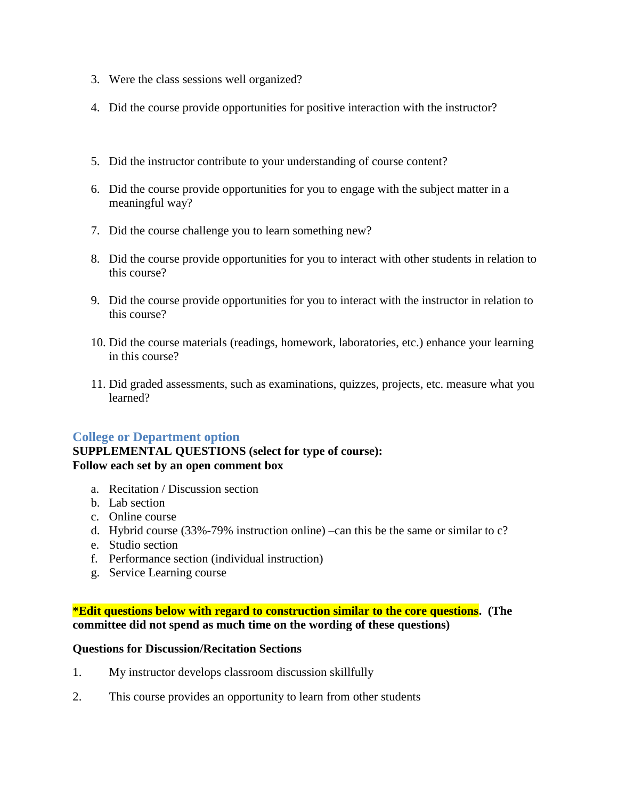- 3. Were the class sessions well organized?
- 4. Did the course provide opportunities for positive interaction with the instructor?
- 5. Did the instructor contribute to your understanding of course content?
- 6. Did the course provide opportunities for you to engage with the subject matter in a meaningful way?
- 7. Did the course challenge you to learn something new?
- 8. Did the course provide opportunities for you to interact with other students in relation to this course?
- 9. Did the course provide opportunities for you to interact with the instructor in relation to this course?
- 10. Did the course materials (readings, homework, laboratories, etc.) enhance your learning in this course?
- 11. Did graded assessments, such as examinations, quizzes, projects, etc. measure what you learned?

#### **College or Department option**

#### **SUPPLEMENTAL QUESTIONS (select for type of course): Follow each set by an open comment box**

- a. Recitation / Discussion section
- b. Lab section
- c. Online course
- d. Hybrid course (33%-79% instruction online) –can this be the same or similar to c?
- e. Studio section
- f. Performance section (individual instruction)
- g. Service Learning course

#### **\*Edit questions below with regard to construction similar to the core questions. (The committee did not spend as much time on the wording of these questions)**

#### **Questions for Discussion/Recitation Sections**

- 1. My instructor develops classroom discussion skillfully
- 2. This course provides an opportunity to learn from other students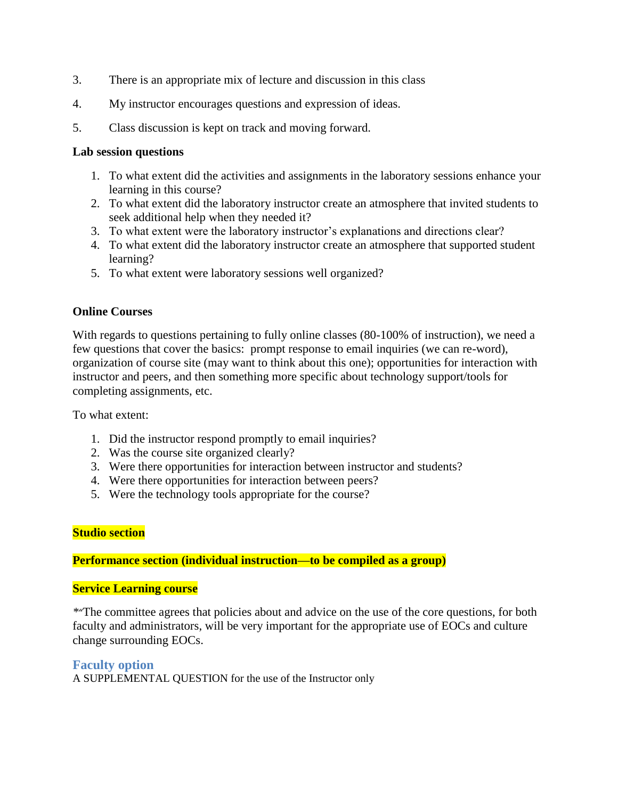- 3. There is an appropriate mix of lecture and discussion in this class
- 4. My instructor encourages questions and expression of ideas.
- 5. Class discussion is kept on track and moving forward.

#### **Lab session questions**

- 1. To what extent did the activities and assignments in the laboratory sessions enhance your learning in this course?
- 2. To what extent did the laboratory instructor create an atmosphere that invited students to seek additional help when they needed it?
- 3. To what extent were the laboratory instructor's explanations and directions clear?
- 4. To what extent did the laboratory instructor create an atmosphere that supported student learning?
- 5. To what extent were laboratory sessions well organized?

#### **Online Courses**

With regards to questions pertaining to fully online classes (80-100% of instruction), we need a few questions that cover the basics: prompt response to email inquiries (we can re-word), organization of course site (may want to think about this one); opportunities for interaction with instructor and peers, and then something more specific about technology support/tools for completing assignments, etc.

To what extent:

- 1. Did the instructor respond promptly to email inquiries?
- 2. Was the course site organized clearly?
- 3. Were there opportunities for interaction between instructor and students?
- 4. Were there opportunities for interaction between peers?
- 5. Were the technology tools appropriate for the course?

#### **Studio section**

**Performance section (individual instruction—to be compiled as a group)**

#### **Service Learning course**

*\**"The committee agrees that policies about and advice on the use of the core questions, for both faculty and administrators, will be very important for the appropriate use of EOCs and culture change surrounding EOCs.

#### **Faculty option**

A SUPPLEMENTAL QUESTION for the use of the Instructor only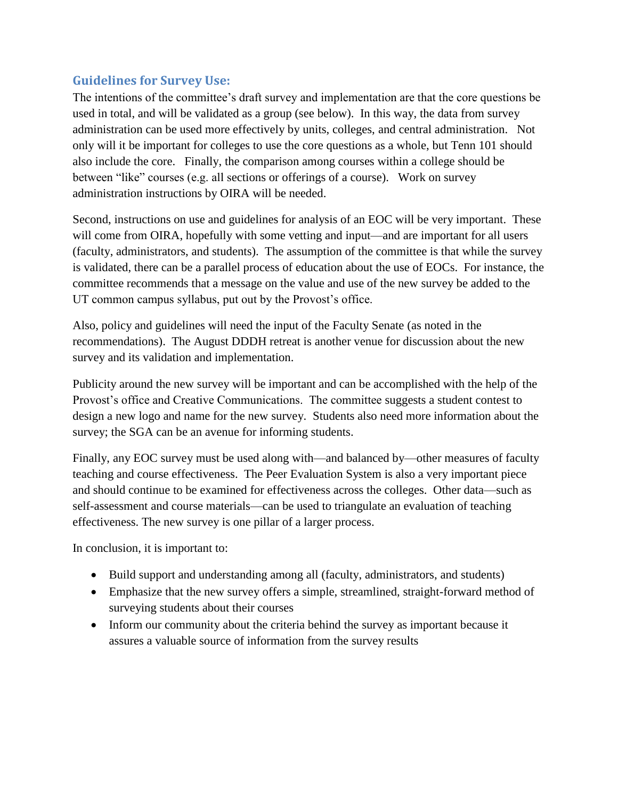## **Guidelines for Survey Use:**

The intentions of the committee's draft survey and implementation are that the core questions be used in total, and will be validated as a group (see below). In this way, the data from survey administration can be used more effectively by units, colleges, and central administration. Not only will it be important for colleges to use the core questions as a whole, but Tenn 101 should also include the core. Finally, the comparison among courses within a college should be between "like" courses (e.g. all sections or offerings of a course). Work on survey administration instructions by OIRA will be needed.

Second, instructions on use and guidelines for analysis of an EOC will be very important. These will come from OIRA, hopefully with some vetting and input—and are important for all users (faculty, administrators, and students). The assumption of the committee is that while the survey is validated, there can be a parallel process of education about the use of EOCs. For instance, the committee recommends that a message on the value and use of the new survey be added to the UT common campus syllabus, put out by the Provost's office.

Also, policy and guidelines will need the input of the Faculty Senate (as noted in the recommendations). The August DDDH retreat is another venue for discussion about the new survey and its validation and implementation.

Publicity around the new survey will be important and can be accomplished with the help of the Provost's office and Creative Communications. The committee suggests a student contest to design a new logo and name for the new survey. Students also need more information about the survey; the SGA can be an avenue for informing students.

Finally, any EOC survey must be used along with—and balanced by—other measures of faculty teaching and course effectiveness. The Peer Evaluation System is also a very important piece and should continue to be examined for effectiveness across the colleges. Other data—such as self-assessment and course materials—can be used to triangulate an evaluation of teaching effectiveness. The new survey is one pillar of a larger process.

In conclusion, it is important to:

- Build support and understanding among all (faculty, administrators, and students)
- Emphasize that the new survey offers a simple, streamlined, straight-forward method of surveying students about their courses
- Inform our community about the criteria behind the survey as important because it assures a valuable source of information from the survey results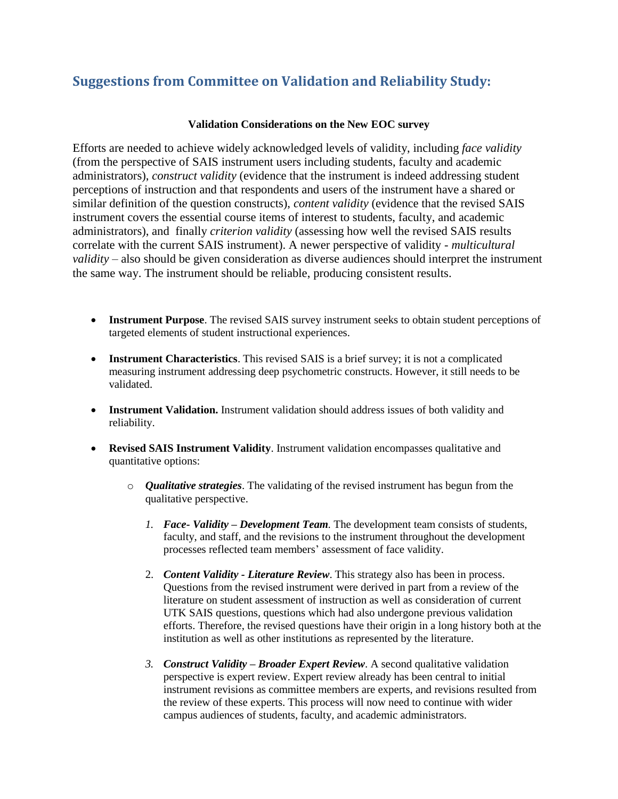# **Suggestions from Committee on Validation and Reliability Study:**

#### **Validation Considerations on the New EOC survey**

Efforts are needed to achieve widely acknowledged levels of validity, including *face validity* (from the perspective of SAIS instrument users including students, faculty and academic administrators), *construct validity* (evidence that the instrument is indeed addressing student perceptions of instruction and that respondents and users of the instrument have a shared or similar definition of the question constructs), *content validity* (evidence that the revised SAIS instrument covers the essential course items of interest to students, faculty, and academic administrators), and finally *criterion validity* (assessing how well the revised SAIS results correlate with the current SAIS instrument). A newer perspective of validity - *multicultural validity* – also should be given consideration as diverse audiences should interpret the instrument the same way. The instrument should be reliable, producing consistent results.

- **Instrument Purpose**. The revised SAIS survey instrument seeks to obtain student perceptions of targeted elements of student instructional experiences.
- **Instrument Characteristics**. This revised SAIS is a brief survey; it is not a complicated measuring instrument addressing deep psychometric constructs. However, it still needs to be validated.
- **Instrument Validation.** Instrument validation should address issues of both validity and reliability.
- **Revised SAIS Instrument Validity**. Instrument validation encompasses qualitative and quantitative options:
	- o *Qualitative strategies*. The validating of the revised instrument has begun from the qualitative perspective.
		- *1. Face- Validity – Development Team.* The development team consists of students, faculty, and staff, and the revisions to the instrument throughout the development processes reflected team members' assessment of face validity.
		- 2. *Content Validity - Literature Review*. This strategy also has been in process. Questions from the revised instrument were derived in part from a review of the literature on student assessment of instruction as well as consideration of current UTK SAIS questions, questions which had also undergone previous validation efforts. Therefore, the revised questions have their origin in a long history both at the institution as well as other institutions as represented by the literature.
		- *3. Construct Validity – Broader Expert Review*. A second qualitative validation perspective is expert review. Expert review already has been central to initial instrument revisions as committee members are experts, and revisions resulted from the review of these experts. This process will now need to continue with wider campus audiences of students, faculty, and academic administrators.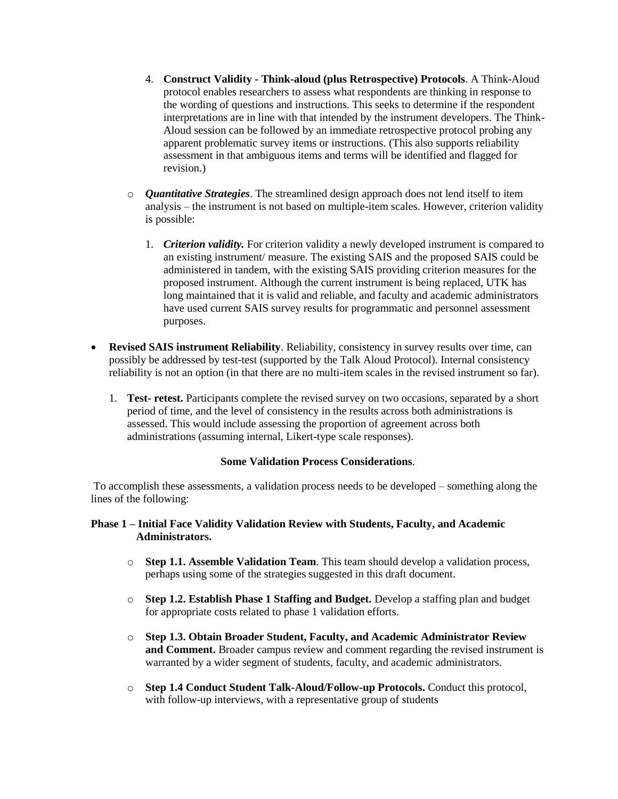- 4. **Construct Validity - Think-aloud (plus Retrospective) Protocols**. A Think-Aloud protocol enables researchers to assess what respondents are thinking in response to the wording of questions and instructions. This seeks to determine if the respondent interpretations are in line with that intended by the instrument developers. The Think-Aloud session can be followed by an immediate retrospective protocol probing any apparent problematic survey items or instructions. (This also supports reliability assessment in that ambiguous items and terms will be identified and flagged for revision.)
- o *Quantitative Strategies*. The streamlined design approach does not lend itself to item analysis – the instrument is not based on multiple-item scales. However, criterion validity is possible:
	- 1. *Criterion validity.* For criterion validity a newly developed instrument is compared to an existing instrument/ measure. The existing SAIS and the proposed SAIS could be administered in tandem, with the existing SAIS providing criterion measures for the proposed instrument. Although the current instrument is being replaced, UTK has long maintained that it is valid and reliable, and faculty and academic administrators have used current SAIS survey results for programmatic and personnel assessment purposes.
- **Revised SAIS instrument Reliability**. Reliability, consistency in survey results over time, can possibly be addressed by test-test (supported by the Talk Aloud Protocol). Internal consistency reliability is not an option (in that there are no multi-item scales in the revised instrument so far).
	- 1. **Test- retest.** Participants complete the revised survey on two occasions, separated by a short period of time, and the level of consistency in the results across both administrations is assessed. This would include assessing the proportion of agreement across both administrations (assuming internal, Likert-type scale responses).

#### **Some Validation Process Considerations**.

To accomplish these assessments, a validation process needs to be developed – something along the lines of the following:

#### **Phase 1 – Initial Face Validity Validation Review with Students, Faculty, and Academic Administrators.**

- o **Step 1.1. Assemble Validation Team**. This team should develop a validation process, perhaps using some of the strategies suggested in this draft document.
- o **Step 1.2. Establish Phase 1 Staffing and Budget.** Develop a staffing plan and budget for appropriate costs related to phase 1 validation efforts.
- o **Step 1.3. Obtain Broader Student, Faculty, and Academic Administrator Review and Comment.** Broader campus review and comment regarding the revised instrument is warranted by a wider segment of students, faculty, and academic administrators.
- o **Step 1.4 Conduct Student Talk-Aloud/Follow-up Protocols.** Conduct this protocol, with follow-up interviews, with a representative group of students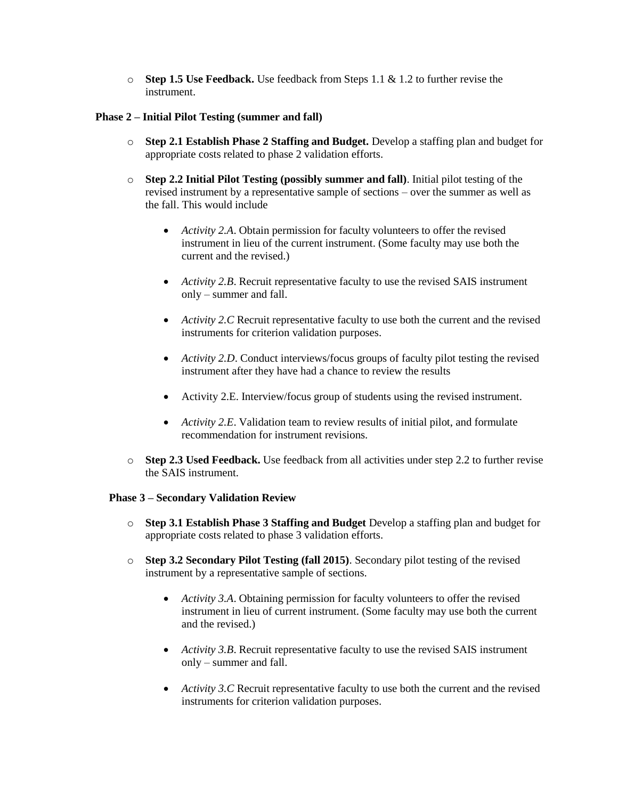o **Step 1.5 Use Feedback.** Use feedback from Steps 1.1 & 1.2 to further revise the instrument.

#### **Phase 2 – Initial Pilot Testing (summer and fall)**

- o **Step 2.1 Establish Phase 2 Staffing and Budget.** Develop a staffing plan and budget for appropriate costs related to phase 2 validation efforts.
- o **Step 2.2 Initial Pilot Testing (possibly summer and fall)**. Initial pilot testing of the revised instrument by a representative sample of sections – over the summer as well as the fall. This would include
	- *Activity 2.A*. Obtain permission for faculty volunteers to offer the revised instrument in lieu of the current instrument. (Some faculty may use both the current and the revised.)
	- *Activity 2.B*. Recruit representative faculty to use the revised SAIS instrument only – summer and fall.
	- *Activity 2.C* Recruit representative faculty to use both the current and the revised instruments for criterion validation purposes.
	- *Activity 2.D*. Conduct interviews/focus groups of faculty pilot testing the revised instrument after they have had a chance to review the results
	- Activity 2.E. Interview/focus group of students using the revised instrument.
	- *Activity 2.E*. Validation team to review results of initial pilot, and formulate recommendation for instrument revisions.
- o **Step 2.3 Used Feedback.** Use feedback from all activities under step 2.2 to further revise the SAIS instrument.

#### **Phase 3 – Secondary Validation Review**

- o **Step 3.1 Establish Phase 3 Staffing and Budget** Develop a staffing plan and budget for appropriate costs related to phase 3 validation efforts.
- o **Step 3.2 Secondary Pilot Testing (fall 2015)**. Secondary pilot testing of the revised instrument by a representative sample of sections.
	- *Activity 3.A*. Obtaining permission for faculty volunteers to offer the revised instrument in lieu of current instrument. (Some faculty may use both the current and the revised.)
	- *Activity 3.B*. Recruit representative faculty to use the revised SAIS instrument only – summer and fall.
	- *Activity 3.C* Recruit representative faculty to use both the current and the revised instruments for criterion validation purposes.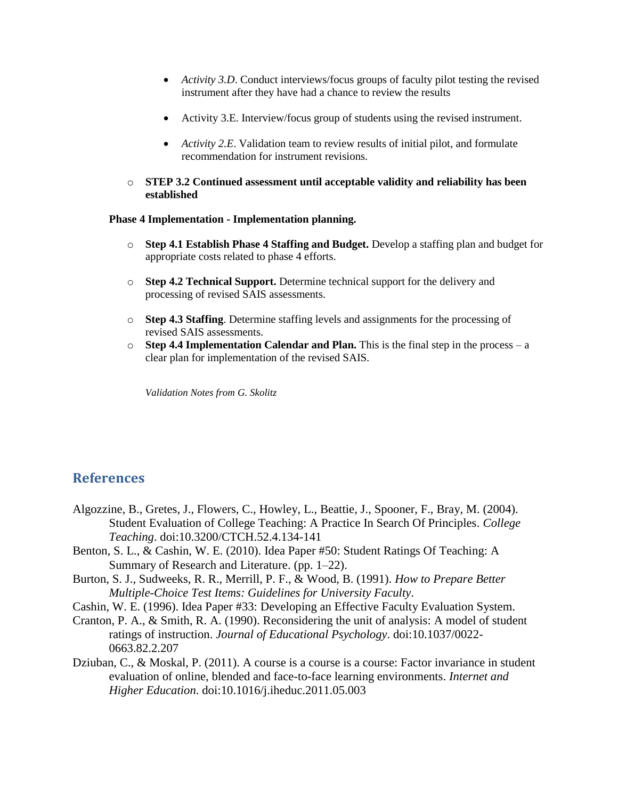- *Activity 3.D*. Conduct interviews/focus groups of faculty pilot testing the revised instrument after they have had a chance to review the results
- Activity 3.E. Interview/focus group of students using the revised instrument.
- *Activity 2.E*. Validation team to review results of initial pilot, and formulate recommendation for instrument revisions.
- o **STEP 3.2 Continued assessment until acceptable validity and reliability has been established**

#### **Phase 4 Implementation - Implementation planning.**

- o **Step 4.1 Establish Phase 4 Staffing and Budget.** Develop a staffing plan and budget for appropriate costs related to phase 4 efforts.
- o **Step 4.2 Technical Support.** Determine technical support for the delivery and processing of revised SAIS assessments.
- o **Step 4.3 Staffing**. Determine staffing levels and assignments for the processing of revised SAIS assessments.
- o **Step 4.4 Implementation Calendar and Plan.** This is the final step in the process a clear plan for implementation of the revised SAIS.

*Validation Notes from G. Skolitz*

#### **References**

- Algozzine, B., Gretes, J., Flowers, C., Howley, L., Beattie, J., Spooner, F., Bray, M. (2004). Student Evaluation of College Teaching: A Practice In Search Of Principles. *College Teaching*. doi:10.3200/CTCH.52.4.134-141
- Benton, S. L., & Cashin, W. E. (2010). Idea Paper #50: Student Ratings Of Teaching: A Summary of Research and Literature. (pp. 1–22).
- Burton, S. J., Sudweeks, R. R., Merrill, P. F., & Wood, B. (1991). *How to Prepare Better Multiple-Choice Test Items: Guidelines for University Faculty*.
- Cashin, W. E. (1996). Idea Paper #33: Developing an Effective Faculty Evaluation System.
- Cranton, P. A., & Smith, R. A. (1990). Reconsidering the unit of analysis: A model of student ratings of instruction. *Journal of Educational Psychology*. doi:10.1037/0022- 0663.82.2.207
- Dziuban, C., & Moskal, P. (2011). A course is a course is a course: Factor invariance in student evaluation of online, blended and face-to-face learning environments. *Internet and Higher Education*. doi:10.1016/j.iheduc.2011.05.003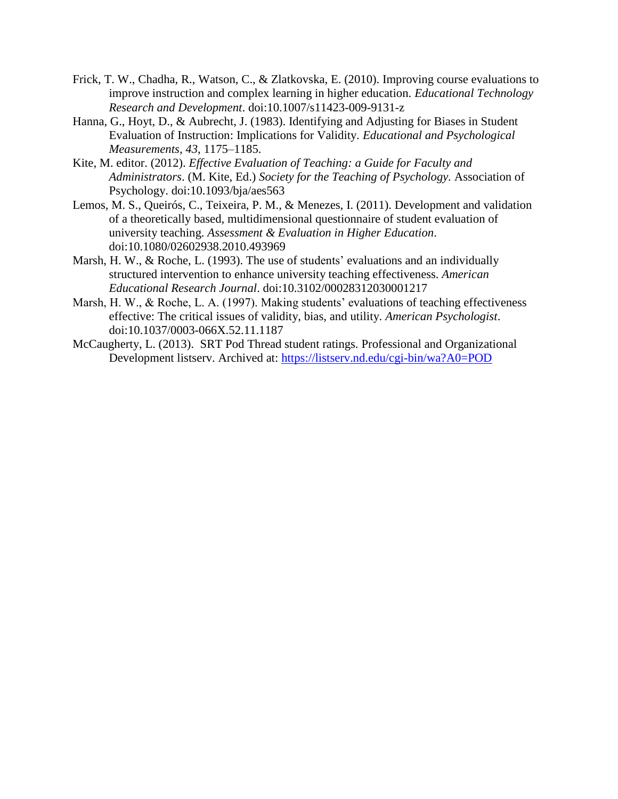- Frick, T. W., Chadha, R., Watson, C., & Zlatkovska, E. (2010). Improving course evaluations to improve instruction and complex learning in higher education. *Educational Technology Research and Development*. doi:10.1007/s11423-009-9131-z
- Hanna, G., Hoyt, D., & Aubrecht, J. (1983). Identifying and Adjusting for Biases in Student Evaluation of Instruction: Implications for Validity. *Educational and Psychological Measurements*, *43*, 1175–1185.
- Kite, M. editor. (2012). *Effective Evaluation of Teaching: a Guide for Faculty and Administrators*. (M. Kite, Ed.) *Society for the Teaching of Psychology.* Association of Psychology. doi:10.1093/bja/aes563
- Lemos, M. S., Queirós, C., Teixeira, P. M., & Menezes, I. (2011). Development and validation of a theoretically based, multidimensional questionnaire of student evaluation of university teaching. *Assessment & Evaluation in Higher Education*. doi:10.1080/02602938.2010.493969
- Marsh, H. W., & Roche, L. (1993). The use of students' evaluations and an individually structured intervention to enhance university teaching effectiveness. *American Educational Research Journal*. doi:10.3102/00028312030001217
- Marsh, H. W., & Roche, L. A. (1997). Making students' evaluations of teaching effectiveness effective: The critical issues of validity, bias, and utility. *American Psychologist*. doi:10.1037/0003-066X.52.11.1187
- McCaugherty, L. (2013). SRT Pod Thread student ratings. Professional and Organizational Development listserv. Archived at:<https://listserv.nd.edu/cgi-bin/wa?A0=POD>